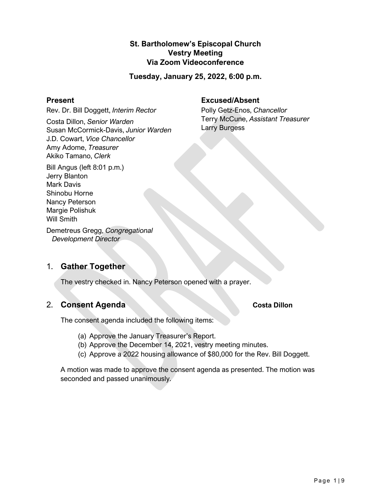# **St. Bartholomew's Episcopal Church Vestry Meeting Via Zoom Videoconference**

**Tuesday, January 25, 2022, 6:00 p.m.**

#### **Present**

Rev. Dr. Bill Doggett, *Interim Rector*

Costa Dillon, *Senior Warden* Susan McCormick-Davis, *Junior Warden* J.D. Cowart, *Vice Chancellor* Amy Adome, *Treasurer* Akiko Tamano, *Clerk*

Bill Angus (left 8:01 p.m.) Jerry Blanton Mark Davis Shinobu Horne Nancy Peterson Margie Polishuk Will Smith

Demetreus Gregg, *Congregational Development Director*

# 1. **Gather Together**

The vestry checked in. Nancy Peterson opened with a prayer.

# 2. **Consent Agenda Costa Dillon**

The consent agenda included the following items:

- (a) Approve the January Treasurer's Report.
- (b) Approve the December 14, 2021, vestry meeting minutes.
- (c) Approve a 2022 housing allowance of \$80,000 for the Rev. Bill Doggett.

A motion was made to approve the consent agenda as presented. The motion was seconded and passed unanimously.

# **Excused/Absent**

Polly Getz-Enos, *Chancellor* Terry McCune, *Assistant Treasurer* Larry Burgess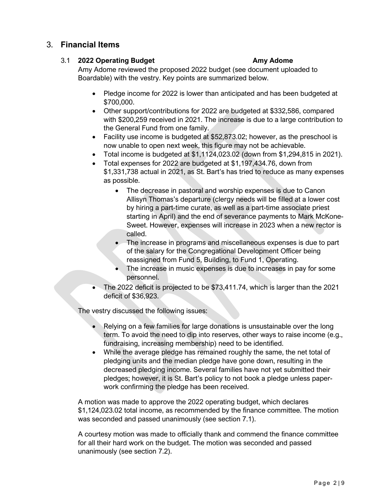# 3. **Financial Items**

# 3.1 **2022 Operating Budget Amy Adome**

Amy Adome reviewed the proposed 2022 budget (see document uploaded to Boardable) with the vestry. Key points are summarized below.

- Pledge income for 2022 is lower than anticipated and has been budgeted at \$700,000.
- Other support/contributions for 2022 are budgeted at \$332,586, compared with \$200,259 received in 2021. The increase is due to a large contribution to the General Fund from one family.
- Facility use income is budgeted at \$52,873.02; however, as the preschool is now unable to open next week, this figure may not be achievable.
- Total income is budgeted at \$1,1124,023.02 (down from \$1,294,815 in 2021).
- Total expenses for 2022 are budgeted at \$1,197,434.76, down from \$1,331,738 actual in 2021, as St. Bart's has tried to reduce as many expenses as possible.
	- The decrease in pastoral and worship expenses is due to Canon Allisyn Thomas's departure (clergy needs will be filled at a lower cost by hiring a part-time curate, as well as a part-time associate priest starting in April) and the end of severance payments to Mark McKone-Sweet. However, expenses will increase in 2023 when a new rector is called.
	- The increase in programs and miscellaneous expenses is due to part of the salary for the Congregational Development Officer being reassigned from Fund 5, Building, to Fund 1, Operating.
	- The increase in music expenses is due to increases in pay for some personnel.
- The 2022 deficit is projected to be \$73,411.74, which is larger than the 2021 deficit of \$36,923.

The vestry discussed the following issues:

- Relying on a few families for large donations is unsustainable over the long term. To avoid the need to dip into reserves, other ways to raise income (e.g., fundraising, increasing membership) need to be identified.
- While the average pledge has remained roughly the same, the net total of pledging units and the median pledge have gone down, resulting in the decreased pledging income. Several families have not yet submitted their pledges; however, it is St. Bart's policy to not book a pledge unless paperwork confirming the pledge has been received.

A motion was made to approve the 2022 operating budget, which declares \$1,124,023.02 total income, as recommended by the finance committee. The motion was seconded and passed unanimously (see section 7.1).

A courtesy motion was made to officially thank and commend the finance committee for all their hard work on the budget. The motion was seconded and passed unanimously (see section 7.2).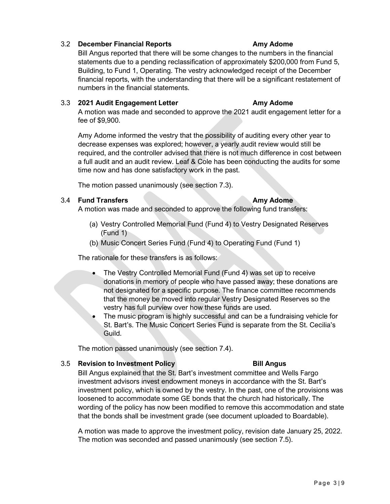# 3.2 **December Financial Reports Amy Adome**

Bill Angus reported that there will be some changes to the numbers in the financial statements due to a pending reclassification of approximately \$200,000 from Fund 5, Building, to Fund 1, Operating. The vestry acknowledged receipt of the December financial reports, with the understanding that there will be a significant restatement of numbers in the financial statements.

#### 3.3 **2021 Audit Engagement Letter Amy Adome**

A motion was made and seconded to approve the 2021 audit engagement letter for a fee of \$9,900.

Amy Adome informed the vestry that the possibility of auditing every other year to decrease expenses was explored; however, a yearly audit review would still be required, and the controller advised that there is not much difference in cost between a full audit and an audit review. Leaf & Cole has been conducting the audits for some time now and has done satisfactory work in the past.

The motion passed unanimously (see section 7.3).

### 3.4 **Fund Transfers Amy Adome**

A motion was made and seconded to approve the following fund transfers:

- (a) Vestry Controlled Memorial Fund (Fund 4) to Vestry Designated Reserves (Fund 1)
- (b) Music Concert Series Fund (Fund 4) to Operating Fund (Fund 1)

The rationale for these transfers is as follows:

- The Vestry Controlled Memorial Fund (Fund 4) was set up to receive donations in memory of people who have passed away; these donations are not designated for a specific purpose. The finance committee recommends that the money be moved into regular Vestry Designated Reserves so the vestry has full purview over how these funds are used.
- The music program is highly successful and can be a fundraising vehicle for St. Bart's. The Music Concert Series Fund is separate from the St. Cecilia's Guild.

The motion passed unanimously (see section 7.4).

#### 3.5 **Revision to Investment Policy Bill Angus**

Bill Angus explained that the St. Bart's investment committee and Wells Fargo investment advisors invest endowment moneys in accordance with the St. Bart's investment policy, which is owned by the vestry. In the past, one of the provisions was loosened to accommodate some GE bonds that the church had historically. The wording of the policy has now been modified to remove this accommodation and state that the bonds shall be investment grade (see document uploaded to Boardable).

A motion was made to approve the investment policy, revision date January 25, 2022. The motion was seconded and passed unanimously (see section 7.5).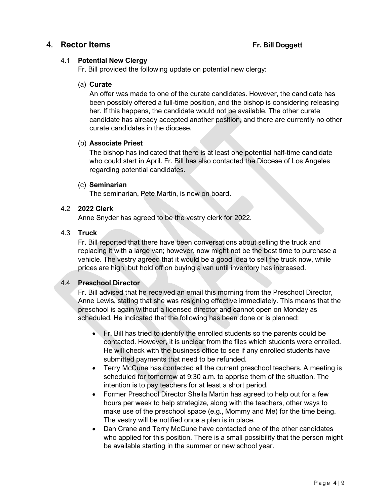# 4. **Rector Items Fr. Bill Doggett**

### 4.1 **Potential New Clergy**

Fr. Bill provided the following update on potential new clergy:

### (a) **Curate**

An offer was made to one of the curate candidates. However, the candidate has been possibly offered a full-time position, and the bishop is considering releasing her. If this happens, the candidate would not be available. The other curate candidate has already accepted another position, and there are currently no other curate candidates in the diocese.

#### (b) **Associate Priest**

The bishop has indicated that there is at least one potential half-time candidate who could start in April. Fr. Bill has also contacted the Diocese of Los Angeles regarding potential candidates.

### (c) **Seminarian**

The seminarian, Pete Martin, is now on board.

# 4.2 **2022 Clerk**

Anne Snyder has agreed to be the vestry clerk for 2022.

### 4.3 **Truck**

Fr. Bill reported that there have been conversations about selling the truck and replacing it with a large van; however, now might not be the best time to purchase a vehicle. The vestry agreed that it would be a good idea to sell the truck now, while prices are high, but hold off on buying a van until inventory has increased.

# 4.4 **Preschool Director**

Fr. Bill advised that he received an email this morning from the Preschool Director, Anne Lewis, stating that she was resigning effective immediately. This means that the preschool is again without a licensed director and cannot open on Monday as scheduled. He indicated that the following has been done or is planned:

- Fr. Bill has tried to identify the enrolled students so the parents could be contacted. However, it is unclear from the files which students were enrolled. He will check with the business office to see if any enrolled students have submitted payments that need to be refunded.
- Terry McCune has contacted all the current preschool teachers. A meeting is scheduled for tomorrow at 9:30 a.m. to apprise them of the situation. The intention is to pay teachers for at least a short period.
- Former Preschool Director Sheila Martin has agreed to help out for a few hours per week to help strategize, along with the teachers, other ways to make use of the preschool space (e.g., Mommy and Me) for the time being. The vestry will be notified once a plan is in place.
- Dan Crane and Terry McCune have contacted one of the other candidates who applied for this position. There is a small possibility that the person might be available starting in the summer or new school year.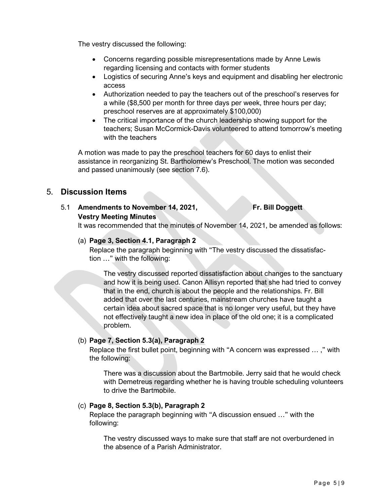The vestry discussed the following:

- Concerns regarding possible misrepresentations made by Anne Lewis regarding licensing and contacts with former students
- Logistics of securing Anne's keys and equipment and disabling her electronic access
- Authorization needed to pay the teachers out of the preschool's reserves for a while (\$8,500 per month for three days per week, three hours per day; preschool reserves are at approximately \$100,000)
- The critical importance of the church leadership showing support for the teachers; Susan McCormick-Davis volunteered to attend tomorrow's meeting with the teachers

A motion was made to pay the preschool teachers for 60 days to enlist their assistance in reorganizing St. Bartholomew's Preschool. The motion was seconded and passed unanimously (see section 7.6).

# 5. **Discussion Items**

### 5.1 **Amendments to November 14, 2021, Fr. Bill Doggett Vestry Meeting Minutes**

It was recommended that the minutes of November 14, 2021, be amended as follows:

#### (a) **Page 3, Section 4.1, Paragraph 2**

Replace the paragraph beginning with "The vestry discussed the dissatisfaction …" with the following:

The vestry discussed reported dissatisfaction about changes to the sanctuary and how it is being used. Canon Allisyn reported that she had tried to convey that in the end, church is about the people and the relationships. Fr. Bill added that over the last centuries, mainstream churches have taught a certain idea about sacred space that is no longer very useful, but they have not effectively taught a new idea in place of the old one; it is a complicated problem.

#### (b) **Page 7, Section 5.3(a), Paragraph 2**

Replace the first bullet point, beginning with "A concern was expressed … ," with the following:

There was a discussion about the Bartmobile. Jerry said that he would check with Demetreus regarding whether he is having trouble scheduling volunteers to drive the Bartmobile.

#### (c) **Page 8, Section 5.3(b), Paragraph 2**

Replace the paragraph beginning with "A discussion ensued …" with the following:

The vestry discussed ways to make sure that staff are not overburdened in the absence of a Parish Administrator.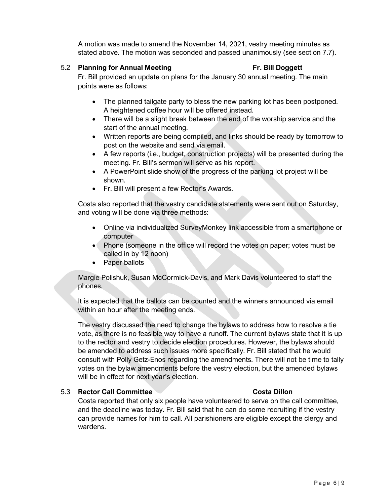A motion was made to amend the November 14, 2021, vestry meeting minutes as stated above. The motion was seconded and passed unanimously (see section 7.7).

### 5.2 **Planning for Annual Meeting Fr. Bill Doggett**

Fr. Bill provided an update on plans for the January 30 annual meeting. The main points were as follows:

- The planned tailgate party to bless the new parking lot has been postponed. A heightened coffee hour will be offered instead.
- There will be a slight break between the end of the worship service and the start of the annual meeting.
- Written reports are being compiled, and links should be ready by tomorrow to post on the website and send via email.
- A few reports (i.e., budget, construction projects) will be presented during the meeting. Fr. Bill's sermon will serve as his report.
- A PowerPoint slide show of the progress of the parking lot project will be shown.
- Fr. Bill will present a few Rector's Awards.

Costa also reported that the vestry candidate statements were sent out on Saturday, and voting will be done via three methods:

- Online via individualized SurveyMonkey link accessible from a smartphone or computer
- Phone (someone in the office will record the votes on paper; votes must be called in by 12 noon)
- Paper ballots

Margie Polishuk, Susan McCormick-Davis, and Mark Davis volunteered to staff the phones.

It is expected that the ballots can be counted and the winners announced via email within an hour after the meeting ends.

The vestry discussed the need to change the bylaws to address how to resolve a tie vote, as there is no feasible way to have a runoff. The current bylaws state that it is up to the rector and vestry to decide election procedures. However, the bylaws should be amended to address such issues more specifically. Fr. Bill stated that he would consult with Polly Getz-Enos regarding the amendments. There will not be time to tally votes on the bylaw amendments before the vestry election, but the amended bylaws will be in effect for next year's election.

#### 5.3 **Rector Call Committee Costa Dillon**

Costa reported that only six people have volunteered to serve on the call committee, and the deadline was today. Fr. Bill said that he can do some recruiting if the vestry can provide names for him to call. All parishioners are eligible except the clergy and wardens.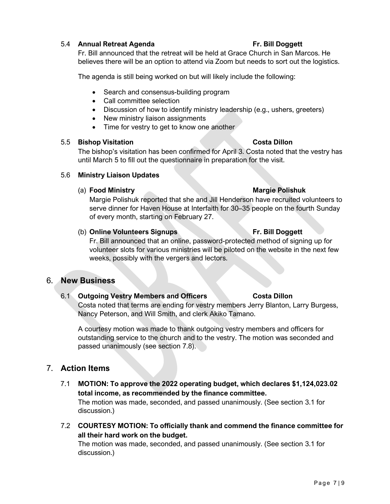### 5.4 **Annual Retreat Agenda Fr. Bill Doggett**

Fr. Bill announced that the retreat will be held at Grace Church in San Marcos. He believes there will be an option to attend via Zoom but needs to sort out the logistics.

The agenda is still being worked on but will likely include the following:

- Search and consensus-building program
- Call committee selection
- Discussion of how to identify ministry leadership (e.g., ushers, greeters)
- New ministry liaison assignments
- Time for vestry to get to know one another

#### 5.5 **Bishop Visitation Costa Dillon**

The bishop's visitation has been confirmed for April 3. Costa noted that the vestry has until March 5 to fill out the questionnaire in preparation for the visit.

#### 5.6 **Ministry Liaison Updates**

#### (a) **Food Ministry Margie Polishuk**

Margie Polishuk reported that she and Jill Henderson have recruited volunteers to serve dinner for Haven House at Interfaith for 30–35 people on the fourth Sunday of every month, starting on February 27.

#### (b) **Online Volunteers Signups Fr. Bill Doggett**

Fr. Bill announced that an online, password-protected method of signing up for volunteer slots for various ministries will be piloted on the website in the next few weeks, possibly with the vergers and lectors.

# 6. **New Business**

### 6.1 **Outgoing Vestry Members and Officers Costa Dillon**

Costa noted that terms are ending for vestry members Jerry Blanton, Larry Burgess, Nancy Peterson, and Will Smith, and clerk Akiko Tamano.

A courtesy motion was made to thank outgoing vestry members and officers for outstanding service to the church and to the vestry. The motion was seconded and passed unanimously (see section 7.8).

# 7. **Action Items**

- 7.1 **MOTION: To approve the 2022 operating budget, which declares \$1,124,023.02 total income, as recommended by the finance committee.** The motion was made, seconded, and passed unanimously. (See section 3.1 for discussion.)
- 7.2 **COURTESY MOTION: To officially thank and commend the finance committee for all their hard work on the budget.**

The motion was made, seconded, and passed unanimously. (See section 3.1 for discussion.)

# Page 7 | 9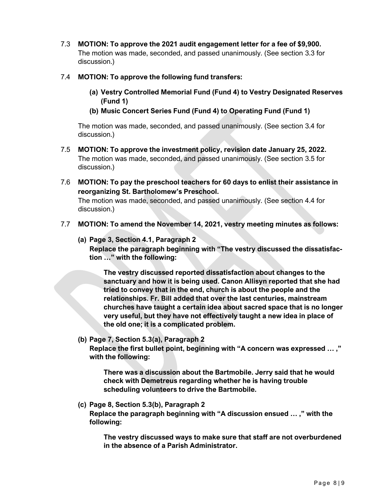- 7.3 **MOTION: To approve the 2021 audit engagement letter for a fee of \$9,900.** The motion was made, seconded, and passed unanimously. (See section 3.3 for discussion.)
- 7.4 **MOTION: To approve the following fund transfers:**
	- **(a) Vestry Controlled Memorial Fund (Fund 4) to Vestry Designated Reserves (Fund 1)**
	- **(b) Music Concert Series Fund (Fund 4) to Operating Fund (Fund 1)**

The motion was made, seconded, and passed unanimously. (See section 3.4 for discussion.)

- 7.5 **MOTION: To approve the investment policy, revision date January 25, 2022.** The motion was made, seconded, and passed unanimously. (See section 3.5 for discussion.)
- 7.6 **MOTION: To pay the preschool teachers for 60 days to enlist their assistance in reorganizing St. Bartholomew's Preschool.**

The motion was made, seconded, and passed unanimously. (See section 4.4 for discussion.)

- 7.7 **MOTION: To amend the November 14, 2021, vestry meeting minutes as follows:**
	- **(a) Page 3, Section 4.1, Paragraph 2**

**Replace the paragraph beginning with "The vestry discussed the dissatisfaction …" with the following:**

**The vestry discussed reported dissatisfaction about changes to the sanctuary and how it is being used. Canon Allisyn reported that she had tried to convey that in the end, church is about the people and the relationships. Fr. Bill added that over the last centuries, mainstream churches have taught a certain idea about sacred space that is no longer very useful, but they have not effectively taught a new idea in place of the old one; it is a complicated problem.**

**(b) Page 7, Section 5.3(a), Paragraph 2**

**Replace the first bullet point, beginning with "A concern was expressed … ," with the following:**

**There was a discussion about the Bartmobile. Jerry said that he would check with Demetreus regarding whether he is having trouble scheduling volunteers to drive the Bartmobile.**

**(c) Page 8, Section 5.3(b), Paragraph 2**

**Replace the paragraph beginning with "A discussion ensued … ," with the following:**

**The vestry discussed ways to make sure that staff are not overburdened in the absence of a Parish Administrator.**